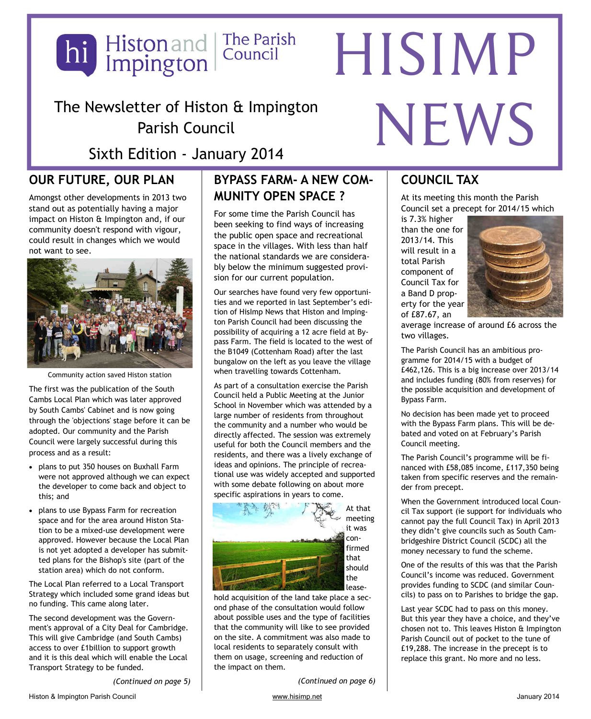

The Newsletter of Histon & Impington Parish Council

Sixth Edition - January 2014

# **OUR FUTURE, OUR PLAN**

Amongst other developments in 2013 two stand out as potentially having a major impact on Histon & Impington and, if our community doesn't respond with vigour, could result in changes which we would not want to see.



Community action saved Histon station

The first was the publication of the South Cambs Local Plan which was later approved by South Cambs' Cabinet and is now going through the 'objections' stage before it can be adopted. Our community and the Parish Council were largely successful during this process and as a result:

- plans to put 350 houses on Buxhall Farm were not approved although we can expect the developer to come back and object to this; and
- plans to use Bypass Farm for recreation space and for the area around Histon Station to be a mixed-use development were approved. However because the Local Plan is not yet adopted a developer has submitted plans for the Bishop's site (part of the station area) which do not conform.

The Local Plan referred to a Local Transport Strategy which included some grand ideas but no funding. This came along later.

The second development was the Government's approval of a City Deal for Cambridge. This will give Cambridge (and South Cambs) access to over £1billion to support growth and it is this deal which will enable the Local Transport Strategy to be funded.

*(Continued on page 5)* 

# BYPASS FARM- A NEW COM- COUNCIL TAX **MUNITY OPEN SPACE ?**

For some time the Parish Council has been seeking to find ways of increasing the public open space and recreational space in the villages. With less than half the national standards we are considerably below the minimum suggested provision for our current population.

Our searches have found very few opportunities and we reported in last September's edition of HisImp News that Histon and Impington Parish Council had been discussing the possibility of acquiring a 12 acre field at Bypass Farm. The field is located to the west of the B1049 (Cottenham Road) after the last bungalow on the left as you leave the village when travelling towards Cottenham.

As part of a consultation exercise the Parish Council held a Public Meeting at the Junior School in November which was attended by a large number of residents from throughout the community and a number who would be directly affected. The session was extremely useful for both the Council members and the residents, and there was a lively exchange of ideas and opinions. The principle of recreational use was widely accepted and supported with some debate following on about more specific aspirations in years to come.



hold acquisition of the land take place a second phase of the consultation would follow about possible uses and the type of facilities that the community will like to see provided on the site. A commitment was also made to local residents to separately consult with them on usage, screening and reduction of the impact on them.

*(Continued on page 6)* 

NEWS

At its meeting this month the Parish Council set a precept for 2014/15 which

is 7.3% higher than the one for 2013/14. This will result in a total Parish component of Council Tax for a Band D property for the year of £87.67, an



average increase of around £6 across the two villages.

The Parish Council has an ambitious programme for 2014/15 with a budget of £462,126. This is a big increase over 2013/14 and includes funding (80% from reserves) for the possible acquisition and development of Bypass Farm.

No decision has been made yet to proceed with the Bypass Farm plans. This will be debated and voted on at February's Parish Council meeting.

The Parish Council's programme will be financed with £58,085 income, £117,350 being taken from specific reserves and the remainder from precept.

When the Government introduced local Council Tax support (ie support for individuals who cannot pay the full Council Tax) in April 2013 they didn't give councils such as South Cambridgeshire District Council (SCDC) all the money necessary to fund the scheme.

One of the results of this was that the Parish Council's income was reduced. Government provides funding to SCDC (and similar Councils) to pass on to Parishes to bridge the gap.

Last year SCDC had to pass on this money. But this year they have a choice, and they've chosen not to. This leaves Histon & Impington Parish Council out of pocket to the tune of £19,288. The increase in the precept is to replace this grant. No more and no less.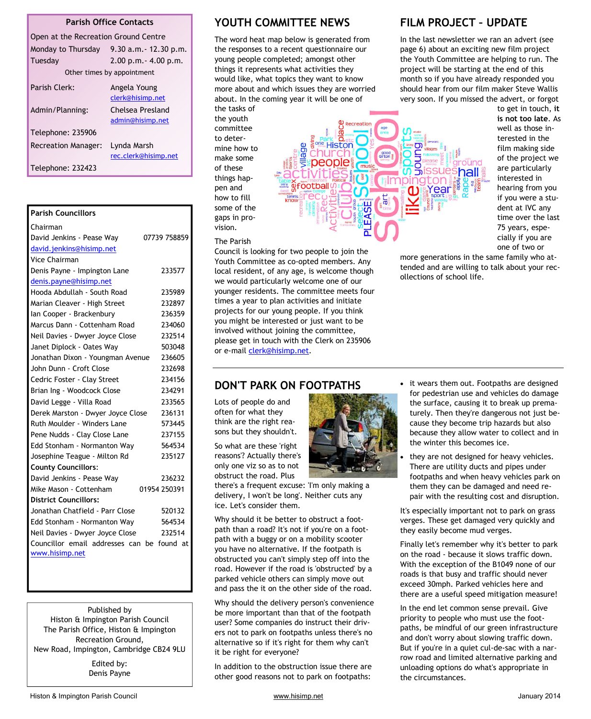#### **Parish Office Contacts**

| Open at the Recreation Ground Centre |                                      |  |
|--------------------------------------|--------------------------------------|--|
| Monday to Thursday                   | $9.30$ a.m. $-12.30$ p.m.            |  |
| Tuesday                              | $2.00$ p.m. $- 4.00$ p.m.            |  |
| Other times by appointment           |                                      |  |
| Parish Clerk:                        | Angela Young<br>clerk@hisimp.net     |  |
| Admin/Planning:                      | Chelsea Presland<br>admin@hisimp.net |  |
| Telephone: 235906                    |                                      |  |
| <b>Recreation Manager:</b>           | Lynda Marsh<br>rec.clerk@hisimp.net  |  |
| Telephone: 232423                    |                                      |  |

| <b>Parish Councillors</b>                 |                |
|-------------------------------------------|----------------|
| Chairman                                  |                |
| David Jenkins - Pease Way                 | 07739 758859   |
| david.jenkins@hisimp.net                  |                |
| Vice Chairman                             |                |
| Denis Payne - Impington Lane              | 233577         |
| denis.payne@hisimp.net                    |                |
| Hooda Abdullah - South Road               | 235989         |
| Marian Cleaver - High Street              | 232897         |
| Ian Cooper - Brackenbury                  | 236359         |
| Marcus Dann - Cottenham Road              | 234060         |
| Neil Davies - Dwyer Joyce Close           | 232514         |
| Janet Diplock - Oates Way                 | 503048         |
| Jonathan Dixon - Youngman Avenue          | 236605         |
| John Dunn - Croft Close                   | 232698         |
| Cedric Foster - Clay Street               | 234156         |
| Brian Ing - Woodcock Close                | 234291         |
| David Legge - Villa Road                  | 233565         |
| Derek Marston - Dwyer Joyce Close         | 236131         |
| Ruth Moulder - Winders Lane               | 573445         |
| Pene Nudds - Clay Close Lane              | 237155         |
| Edd Stonham - Normanton Way               | 564534         |
| Josephine Teague - Milton Rd              | 235127         |
| <b>County Councillors:</b>                |                |
| David Jenkins - Pease Way                 | 236232         |
| Mike Mason - Cottenham                    | 01954 250391   |
| <b>District Councillors:</b>              |                |
| Jonathan Chatfield - Parr Close           | 520132         |
| Edd Stonham - Normanton Way               | 564534         |
| 232514<br>Neil Davies - Dwyer Joyce Close |                |
| Councillor email addresses can            | found at<br>be |
| www.hisimp.net                            |                |

Published by Histon & Impington Parish Council The Parish Office, Histon & Impington Recreation Ground, New Road, Impington, Cambridge CB24 9LU

> Edited by: Denis Payne

#### **YOUTH COMMITTEE NEWS**

The word heat map below is generated from the responses to a recent questionnaire our young people completed; amongst other things it represents what activities they would like, what topics they want to know more about and which issues they are worried about. In the coming year it will be one of

the tasks of the youth committee to determine how to make some of these things happen and how to fill some of the gaps in provision.

#### The Parish

Council is looking for two people to join the Youth Committee as co-opted members. Any local resident, of any age, is welcome though we would particularly welcome one of our younger residents. The committee meets four times a year to plan activities and initiate projects for our young people. If you think you might be interested or just want to be involved without joining the committee, please get in touch with the Clerk on 235906 or e-mail clerk@hisimp.net.

#### **DON'T PARK ON FOOTPATHS**

Lots of people do and often for what they think are the right reasons but they shouldn't.

So what are these 'right reasons'? Actually there's only one viz so as to not obstruct the road. Plus

there's a frequent excuse: 'I'm only making a delivery, I won't be long'. Neither cuts any ice. Let's consider them.

Why should it be better to obstruct a footpath than a road? It's not if you're on a footpath with a buggy or on a mobility scooter you have no alternative. If the footpath is obstructed you can't simply step off into the road. However if the road is 'obstructed' by a parked vehicle others can simply move out and pass the it on the other side of the road.

Why should the delivery person's convenience be more important than that of the footpath user? Some companies do instruct their drivers not to park on footpaths unless there's no alternative so if it's right for them why can't it be right for everyone?

In addition to the obstruction issue there are other good reasons not to park on footpaths:

#### **FILM PROJECT – UPDATE**

In the last newsletter we ran an advert (see page 6) about an exciting new film project the Youth Committee are helping to run. The project will be starting at the end of this month so if you have already responded you should hear from our film maker Steve Wallis very soon. If you missed the advert, or forgot

Recreation Histon people าลแ ootbal

to get in touch, **it is not too late**. As well as those interested in the film making side of the project we are particularly interested in hearing from you if you were a student at IVC any time over the last 75 years, especially if you are one of two or

more generations in the same family who attended and are willing to talk about your recollections of school life.

- 
- it wears them out. Footpaths are designed for pedestrian use and vehicles do damage the surface, causing it to break up prematurely. Then they're dangerous not just because they become trip hazards but also because they allow water to collect and in the winter this becomes ice.
	- they are not designed for heavy vehicles. There are utility ducts and pipes under footpaths and when heavy vehicles park on them they can be damaged and need repair with the resulting cost and disruption.

It's especially important not to park on grass verges. These get damaged very quickly and they easily become mud verges.

Finally let's remember why it's better to park on the road - because it slows traffic down. With the exception of the B1049 none of our roads is that busy and traffic should never exceed 30mph. Parked vehicles here and there are a useful speed mitigation measure!

In the end let common sense prevail. Give priority to people who must use the footpaths, be mindful of our green infrastructure and don't worry about slowing traffic down. But if you're in a quiet cul-de-sac with a narrow road and limited alternative parking and unloading options do what's appropriate in the circumstances.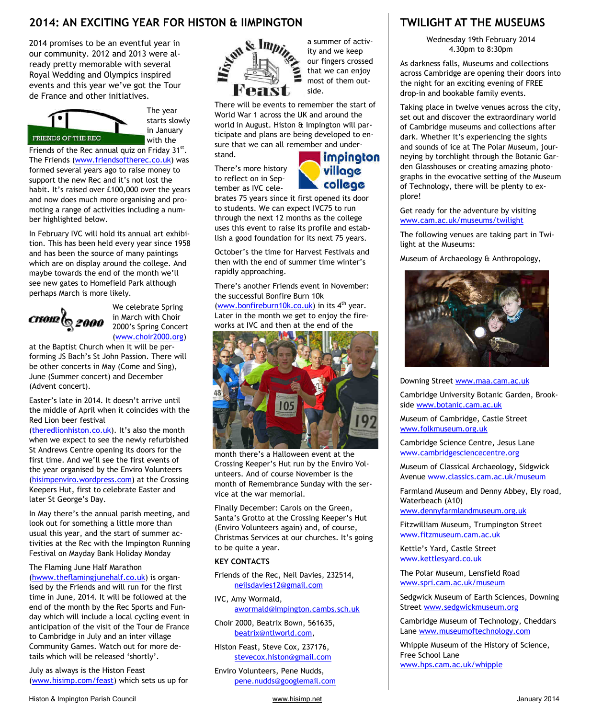#### **2014: AN EXCITING YEAR FOR HISTON & IIMPINGTON TWILIGHT AT THE MUSEUMS**

2014 promises to be an eventful year in our community. 2012 and 2013 were already pretty memorable with several Royal Wedding and Olympics inspired events and this year we've got the Tour de France and other initiatives.



The year starts slowly in January with the

Friends of the Rec annual quiz on Friday  $31^{st}$ . The Friends (www.friendsoftherec.co.uk) was formed several years ago to raise money to support the new Rec and it's not lost the habit. It's raised over £100,000 over the years and now does much more organising and promoting a range of activities including a number highlighted below.

In February IVC will hold its annual art exhibition. This has been held every year since 1958 and has been the source of many paintings which are on display around the college. And maybe towards the end of the month we'll see new gates to Homefield Park although perhaps March is more likely.



We celebrate Spring in March with Choir 2000's Spring Concert (www.choir2000.org)

at the Baptist Church when it will be performing JS Bach's St John Passion. There will be other concerts in May (Come and Sing), June (Summer concert) and December (Advent concert).

Easter's late in 2014. It doesn't arrive until the middle of April when it coincides with the Red Lion beer festival

(theredlionhiston.co.uk). It's also the month when we expect to see the newly refurbished St Andrews Centre opening its doors for the first time. And we'll see the first events of the year organised by the Enviro Volunteers (hisimpenviro.wordpress.com) at the Crossing Keepers Hut, first to celebrate Easter and later St George's Day.

In May there's the annual parish meeting, and look out for something a little more than usual this year, and the start of summer activities at the Rec with the Impington Running Festival on Mayday Bank Holiday Monday

#### The Flaming June Half Marathon

(hwww.theflamingjunehalf.co.uk) is organised by the Friends and will run for the first time in June, 2014. It will be followed at the end of the month by the Rec Sports and Funday which will include a local cycling event in anticipation of the visit of the Tour de France to Cambridge in July and an inter village Community Games. Watch out for more details which will be released 'shortly'.

July as always is the Histon Feast (www.hisimp.com/feast) which sets us up for



a summer of activity and we keep our fingers crossed that we can enjoy most of them outside.

There will be events to remember the start of World War 1 across the UK and around the world in August. Histon & Impington will participate and plans are being developed to ensure that we can all remember and understand.

There's more history to reflect on in September as IVC cele-

# *impington* village college

brates 75 years since it first opened its door to students. We can expect IVC75 to run through the next 12 months as the college uses this event to raise its profile and establish a good foundation for its next 75 years.

October's the time for Harvest Festivals and then with the end of summer time winter's rapidly approaching.

There's another Friends event in November: the successful Bonfire Burn 10k (www.bonfireburn10k.co.uk) in its  $4<sup>th</sup>$  year.

Later in the month we get to enjoy the fireworks at IVC and then at the end of the



month there's a Halloween event at the Crossing Keeper's Hut run by the Enviro Volunteers. And of course November is the month of Remembrance Sunday with the service at the war memorial.

Finally December: Carols on the Green, Santa's Grotto at the Crossing Keeper's Hut (Enviro Volunteers again) and, of course, Christmas Services at our churches. It's going to be quite a year.

#### **KEY CONTACTS**

Friends of the Rec, Neil Davies, 232514, neilsdavies12@gmail.com

IVC, Amy Wormald, awormald@impington.cambs.sch.uk

Choir 2000, Beatrix Bown, 561635, beatrix@ntlworld.com,

Histon Feast, Steve Cox, 237176, stevecox.histon@gmail.com

Enviro Volunteers, Pene Nudds, pene.nudds@googlemail.com

Wednesday 19th February 2014 4.30pm to 8:30pm

As darkness falls, Museums and collections across Cambridge are opening their doors into the night for an exciting evening of FREE drop-in and bookable family events.

Taking place in twelve venues across the city, set out and discover the extraordinary world of Cambridge museums and collections after dark. Whether it's experiencing the sights and sounds of ice at The Polar Museum, journeying by torchlight through the Botanic Garden Glasshouses or creating amazing photographs in the evocative setting of the Museum of Technology, there will be plenty to explore!

Get ready for the adventure by visiting www.cam.ac.uk/museums/twilight

The following venues are taking part in Twilight at the Museums:

Museum of Archaeology & Anthropology,



Downing Street www.maa.cam.ac.uk

Cambridge University Botanic Garden, Brookside www.botanic.cam.ac.uk

Museum of Cambridge, Castle Street www.folkmuseum.org.uk

Cambridge Science Centre, Jesus Lane www.cambridgesciencecentre.org

Museum of Classical Archaeology, Sidgwick Avenue www.classics.cam.ac.uk/museum

Farmland Museum and Denny Abbey, Ely road, Waterbeach (A10)

www.dennyfarmlandmuseum.org.uk

Fitzwilliam Museum, Trumpington Street www.fitzmuseum.cam.ac.uk

Kettle's Yard, Castle Street www.kettlesyard.co.uk

The Polar Museum, Lensfield Road www.spri.cam.ac.uk/museum

Sedgwick Museum of Earth Sciences, Downing Street www.sedgwickmuseum.org

Cambridge Museum of Technology, Cheddars Lane www.museumoftechnology.com

Whipple Museum of the History of Science, Free School Lane www.hps.cam.ac.uk/whipple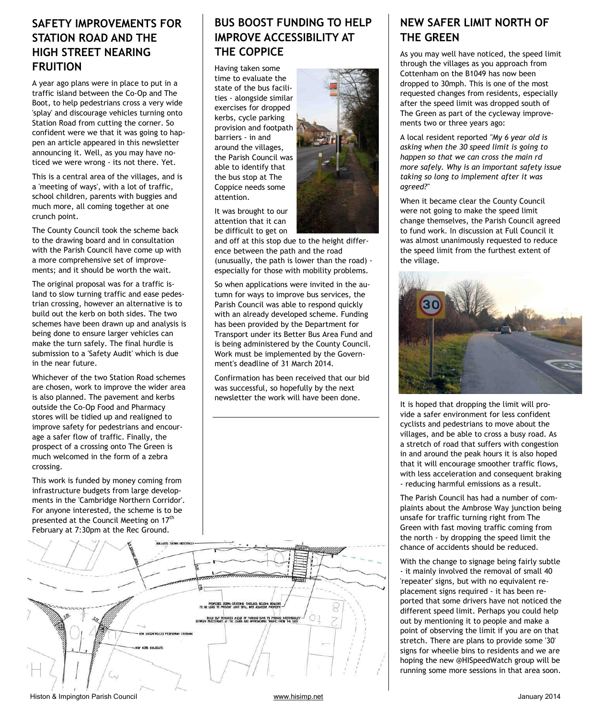### **SAFETY IMPROVEMENTS FOR STATION ROAD AND THE HIGH STREET NEARING FRUITION**

A year ago plans were in place to put in a traffic island between the Co-Op and The Boot, to help pedestrians cross a very wide 'splay' and discourage vehicles turning onto Station Road from cutting the corner. So confident were we that it was going to happen an article appeared in this newsletter announcing it. Well, as you may have noticed we were wrong - its not there. Yet.

This is a central area of the villages, and is a 'meeting of ways', with a lot of traffic, school children, parents with buggies and much more, all coming together at one crunch point.

The County Council took the scheme back to the drawing board and in consultation with the Parish Council have come up with a more comprehensive set of improvements; and it should be worth the wait.

The original proposal was for a traffic island to slow turning traffic and ease pedestrian crossing, however an alternative is to build out the kerb on both sides. The two schemes have been drawn up and analysis is being done to ensure larger vehicles can make the turn safely. The final hurdle is submission to a 'Safety Audit' which is due in the near future.

Whichever of the two Station Road schemes are chosen, work to improve the wider area is also planned. The pavement and kerbs outside the Co-Op Food and Pharmacy stores will be tidied up and realigned to improve safety for pedestrians and encourage a safer flow of traffic. Finally, the prospect of a crossing onto The Green is much welcomed in the form of a zebra crossing.

This work is funded by money coming from infrastructure budgets from large developments in the 'Cambridge Northern Corridor'. For anyone interested, the scheme is to be presented at the Council Meeting on 17<sup>th</sup> February at 7:30pm at the Rec Ground.

# **BUS BOOST FUNDING TO HELP IMPROVE ACCESSIBILITY AT THE COPPICE**

Having taken some time to evaluate the state of the bus facilities - alongside similar exercises for dropped kerbs, cycle parking provision and footpath barriers - in and around the villages, the Parish Council was able to identify that the bus stop at The Coppice needs some attention.

It was brought to our attention that it can be difficult to get on

and off at this stop due to the height difference between the path and the road (unusually, the path is lower than the road) especially for those with mobility problems.

So when applications were invited in the autumn for ways to improve bus services, the Parish Council was able to respond quickly with an already developed scheme. Funding has been provided by the Department for Transport under its Better Bus Area Fund and is being administered by the County Council. Work must be implemented by the Government's deadline of 31 March 2014.

Confirmation has been received that our bid was successful, so hopefully by the next newsletter the work will have been done.



# **NEW SAFER LIMIT NORTH OF THE GREEN**

As you may well have noticed, the speed limit through the villages as you approach from Cottenham on the B1049 has now been dropped to 30mph. This is one of the most requested changes from residents, especially after the speed limit was dropped south of The Green as part of the cycleway improvements two or three years ago:

A local resident reported *"My 6 year old is asking when the 30 speed limit is going to happen so that we can cross the main rd more safely. Why is an important safety issue taking so long to implement after it was agreed?"*

When it became clear the County Council were not going to make the speed limit change themselves, the Parish Council agreed to fund work. In discussion at Full Council it was almost unanimously requested to reduce the speed limit from the furthest extent of the village.



It is hoped that dropping the limit will provide a safer environment for less confident cyclists and pedestrians to move about the villages, and be able to cross a busy road. As a stretch of road that suffers with congestion in and around the peak hours it is also hoped that it will encourage smoother traffic flows, with less acceleration and consequent braking - reducing harmful emissions as a result.

The Parish Council has had a number of complaints about the Ambrose Way junction being unsafe for traffic turning right from The Green with fast moving traffic coming from the north - by dropping the speed limit the chance of accidents should be reduced.

With the change to signage being fairly subtle - it mainly involved the removal of small 40 'repeater' signs, but with no equivalent replacement signs required - it has been reported that some drivers have not noticed the different speed limit. Perhaps you could help out by mentioning it to people and make a point of observing the limit if you are on that stretch. There are plans to provide some '30' signs for wheelie bins to residents and we are hoping the new @HISpeedWatch group will be running some more sessions in that area soon.



Histon & Impington Parish Council **WWW.histon Council** www.hisimp.net January 2014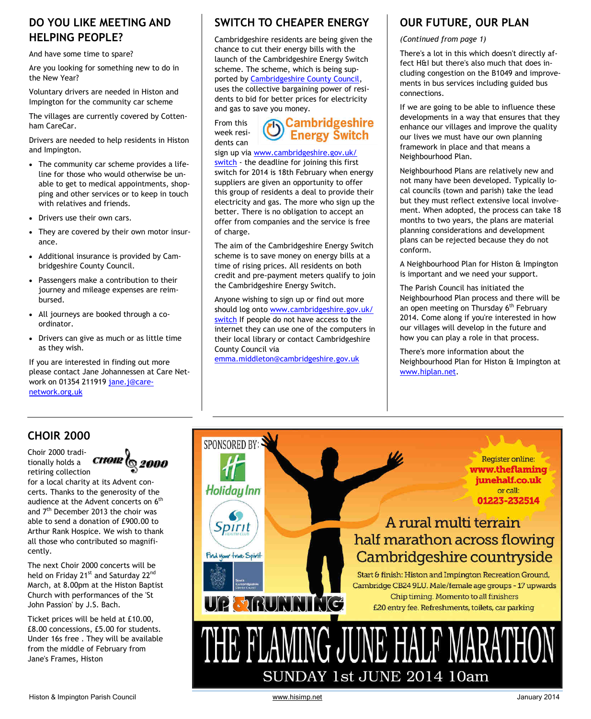# **DO YOU LIKE MEETING AND HELPING PEOPLE?**

And have some time to spare?

Are you looking for something new to do in the New Year?

Voluntary drivers are needed in Histon and Impington for the community car scheme

The villages are currently covered by Cottenham CareCar.

Drivers are needed to help residents in Histon and Impington.

- The community car scheme provides a lifeline for those who would otherwise be unable to get to medical appointments, shopping and other services or to keep in touch with relatives and friends.
- Drivers use their own cars.
- They are covered by their own motor insurance.
- Additional insurance is provided by Cambridgeshire County Council.
- Passengers make a contribution to their journey and mileage expenses are reimbursed.
- All journeys are booked through a coordinator.
- Drivers can give as much or as little time as they wish.

If you are interested in finding out more please contact Jane Johannessen at Care Network on 01354 211919 jane.j@carenetwork.org.uk

# **SWITCH TO CHEAPER ENERGY OUR FUTURE, OUR PLAN**

Cambridgeshire residents are being given the chance to cut their energy bills with the launch of the Cambridgeshire Energy Switch scheme. The scheme, which is being supported by Cambridgeshire County Council, uses the collective bargaining power of residents to bid for better prices for electricity and gas to save you money.

From this week residents can

# **b** Cambridgeshire

sign up via www.cambridgeshire.gov.uk/

switch - the deadline for joining this first switch for 2014 is 18th February when energy suppliers are given an opportunity to offer this group of residents a deal to provide their electricity and gas. The more who sign up the better. There is no obligation to accept an offer from companies and the service is free of charge.

The aim of the Cambridgeshire Energy Switch scheme is to save money on energy bills at a time of rising prices. All residents on both credit and pre-payment meters qualify to join the Cambridgeshire Energy Switch.

Anyone wishing to sign up or find out more should log onto www.cambridgeshire.gov.uk/ switch If people do not have access to the internet they can use one of the computers in their local library or contact Cambridgeshire County Council via

emma.middleton@cambridgeshire.gov.uk

*(Continued from page 1)* 

There's a lot in this which doesn't directly affect H&I but there's also much that does including congestion on the B1049 and improvements in bus services including guided bus connections.

If we are going to be able to influence these developments in a way that ensures that they enhance our villages and improve the quality our lives we must have our own planning framework in place and that means a Neighbourhood Plan.

Neighbourhood Plans are relatively new and not many have been developed. Typically local councils (town and parish) take the lead but they must reflect extensive local involvement. When adopted, the process can take 18 months to two years, the plans are material planning considerations and development plans can be rejected because they do not conform.

A Neighbourhood Plan for Histon & Impington is important and we need your support.

The Parish Council has initiated the Neighbourhood Plan process and there will be an open meeting on Thursday 6<sup>th</sup> February 2014. Come along if you're interested in how our villages will develop in the future and how you can play a role in that process.

There's more information about the Neighbourhood Plan for Histon & Impington at www.hiplan.net.

# **CHOIR 2000**

Choir 2000 traditionally holds a retiring collection



for a local charity at its Advent concerts. Thanks to the generosity of the audience at the Advent concerts on 6<sup>th</sup> and 7<sup>th</sup> December 2013 the choir was able to send a donation of £900.00 to Arthur Rank Hospice. We wish to thank all those who contributed so magnificently.

The next Choir 2000 concerts will be held on Friday 21<sup>st</sup> and Saturday 22<sup>nd</sup> March, at 8.00pm at the Histon Baptist Church with performances of the 'St John Passion' by J.S. Bach.

Ticket prices will be held at £10.00, £8.00 concessions, £5.00 for students. Under 16s free . They will be available from the middle of February from Jane's Frames, Histon

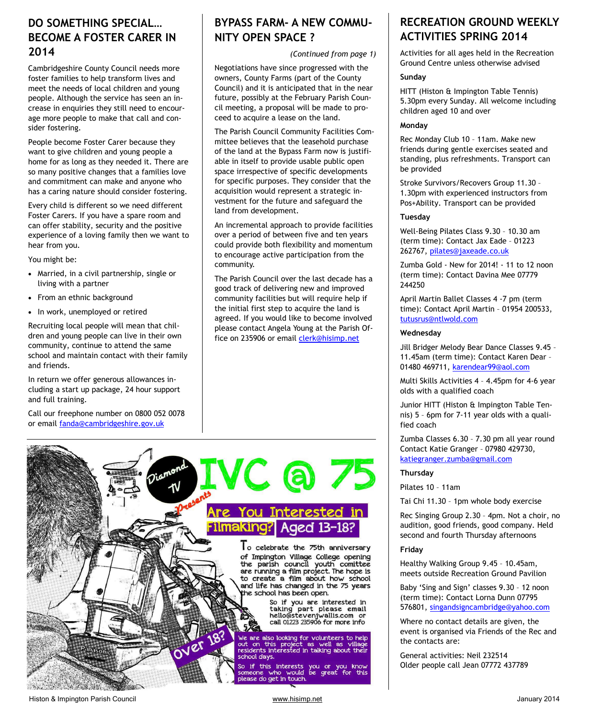### **DO SOMETHING SPECIAL… BECOME A FOSTER CARER IN 2014**

Cambridgeshire County Council needs more foster families to help transform lives and meet the needs of local children and young people. Although the service has seen an increase in enquiries they still need to encourage more people to make that call and consider fostering.

People become Foster Carer because they want to give children and young people a home for as long as they needed it. There are so many positive changes that a families love and commitment can make and anyone who has a caring nature should consider fostering.

Every child is different so we need different Foster Carers. If you have a spare room and can offer stability, security and the positive experience of a loving family then we want to hear from you.

You might be:

- Married, in a civil partnership, single or living with a partner
- From an ethnic background
- In work, unemployed or retired

Recruiting local people will mean that children and young people can live in their own community, continue to attend the same school and maintain contact with their family and friends.

In return we offer generous allowances including a start up package, 24 hour support and full training.

Call our freephone number on 0800 052 0078 or email fanda@cambridgeshire.gov.uk

# **BYPASS FARM- A NEW COMMU-NITY OPEN SPACE ?**

*(Continued from page 1)* 

Negotiations have since progressed with the owners, County Farms (part of the County Council) and it is anticipated that in the near future, possibly at the February Parish Council meeting, a proposal will be made to proceed to acquire a lease on the land.

The Parish Council Community Facilities Committee believes that the leasehold purchase of the land at the Bypass Farm now is justifiable in itself to provide usable public open space irrespective of specific developments for specific purposes. They consider that the acquisition would represent a strategic investment for the future and safeguard the land from development.

An incremental approach to provide facilities over a period of between five and ten years could provide both flexibility and momentum to encourage active participation from the community.

The Parish Council over the last decade has a good track of delivering new and improved community facilities but will require help if the initial first step to acquire the land is agreed. If you would like to become involved please contact Angela Young at the Parish Office on 235906 or email clerk@hisimp.net



### **RECREATION GROUND WEEKLY ACTIVITIES SPRING 2014**

Activities for all ages held in the Recreation Ground Centre unless otherwise advised

#### **Sunday**

HITT (Histon & Impington Table Tennis) 5.30pm every Sunday. All welcome including children aged 10 and over

#### **Monday**

Rec Monday Club 10 – 11am. Make new friends during gentle exercises seated and standing, plus refreshments. Transport can be provided

Stroke Survivors/Recovers Group 11.30 – 1.30pm with experienced instructors from Pos+Ability. Transport can be provided

#### **Tuesday**

Well-Being Pilates Class 9.30 – 10.30 am (term time): Contact Jax Eade – 01223 262767, pilates@jaxeade.co.uk

Zumba Gold - New for 2014! - 11 to 12 noon (term time): Contact Davina Mee 07779 244250

April Martin Ballet Classes 4 -7 pm (term time): Contact April Martin – 01954 200533, tutusrus@ntlwold.com

#### **Wednesday**

Jill Bridger Melody Bear Dance Classes 9.45 – 11.45am (term time): Contact Karen Dear – 01480 469711, karendear99@aol.com

Multi Skills Activities 4 – 4.45pm for 4-6 year olds with a qualified coach

Junior HITT (Histon & Impington Table Tennis) 5 – 6pm for 7-11 year olds with a qualified coach

Zumba Classes 6.30 – 7.30 pm all year round Contact Katie Granger – 07980 429730, katiegranger.zumba@gmail.com

#### **Thursday**

Pilates 10 – 11am

Tai Chi 11.30 – 1pm whole body exercise

Rec Singing Group 2.30 – 4pm. Not a choir, no audition, good friends, good company. Held second and fourth Thursday afternoons

#### **Friday**

Healthy Walking Group 9.45 – 10.45am, meets outside Recreation Ground Pavilion

Baby 'Sing and Sign' classes 9.30 – 12 noon (term time): Contact Lorna Dunn 07795 576801, singandsigncambridge@yahoo.com

Where no contact details are given, the event is organised via Friends of the Rec and the contacts are:

General activities: Neil 232514 Older people call Jean 07772 437789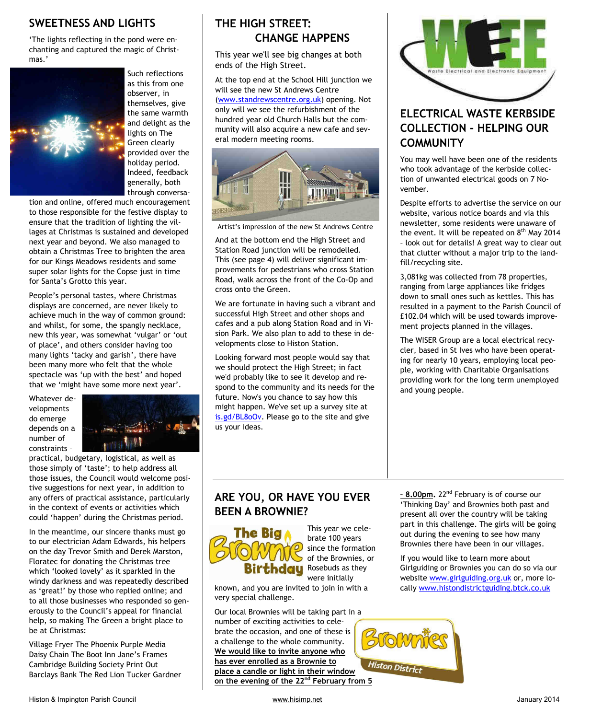#### **SWEETNESS AND LIGHTS**

'The lights reflecting in the pond were enchanting and captured the magic of Christmas.'



Such reflections as this from one observer, in themselves, give the same warmth and delight as the lights on The Green clearly provided over the holiday period. Indeed, feedback generally, both through conversa-

tion and online, offered much encouragement to those responsible for the festive display to ensure that the tradition of lighting the villages at Christmas is sustained and developed next year and beyond. We also managed to obtain a Christmas Tree to brighten the area for our Kings Meadows residents and some super solar lights for the Copse just in time for Santa's Grotto this year.

People's personal tastes, where Christmas displays are concerned, are never likely to achieve much in the way of common ground: and whilst, for some, the spangly necklace, new this year, was somewhat 'vulgar' or 'out of place', and others consider having too many lights 'tacky and garish', there have been many more who felt that the whole spectacle was 'up with the best' and hoped that we 'might have some more next year'.

Whatever developments do emerge depends on a number of constraints –



practical, budgetary, logistical, as well as those simply of 'taste'; to help address all those issues, the Council would welcome positive suggestions for next year, in addition to any offers of practical assistance, particularly in the context of events or activities which could 'happen' during the Christmas period.

In the meantime, our sincere thanks must go to our electrician Adam Edwards, his helpers on the day Trevor Smith and Derek Marston, Floratec for donating the Christmas tree which 'looked lovely' as it sparkled in the windy darkness and was repeatedly described as 'great!' by those who replied online; and to all those businesses who responded so generously to the Council's appeal for financial help, so making The Green a bright place to be at Christmas:

Village Fryer The Phoenix Purple Media Daisy Chain The Boot Inn Jane's Frames Cambridge Building Society Print Out Barclays Bank The Red Lion Tucker Gardner

## **THE HIGH STREET: CHANGE HAPPENS**

This year we'll see big changes at both ends of the High Street.

At the top end at the School Hill junction we will see the new St Andrews Centre (www.standrewscentre.org.uk) opening. Not only will we see the refurbishment of the hundred year old Church Halls but the community will also acquire a new cafe and several modern meeting rooms.



Artist's impression of the new St Andrews Centre

And at the bottom end the High Street and Station Road junction will be remodelled. This (see page 4) will deliver significant improvements for pedestrians who cross Station Road, walk across the front of the Co-Op and cross onto the Green.

We are fortunate in having such a vibrant and successful High Street and other shops and cafes and a pub along Station Road and in Vision Park. We also plan to add to these in developments close to Histon Station.

Looking forward most people would say that we should protect the High Street; in fact we'd probably like to see it develop and respond to the community and its needs for the future. Now's you chance to say how this might happen. We've set up a survey site at is.gd/BL8oOv. Please go to the site and give us your ideas.



# **ELECTRICAL WASTE KERBSIDE COLLECTION - HELPING OUR COMMUNITY**

You may well have been one of the residents who took advantage of the kerbside collection of unwanted electrical goods on 7 November.

Despite efforts to advertise the service on our website, various notice boards and via this newsletter, some residents were unaware of the event. It will be repeated on  $8<sup>th</sup>$  May 2014 – look out for details! A great way to clear out that clutter without a major trip to the landfill/recycling site.

3,081kg was collected from 78 properties, ranging from large appliances like fridges down to small ones such as kettles. This has resulted in a payment to the Parish Council of £102.04 which will be used towards improvement projects planned in the villages.

The WISER Group are a local electrical recycler, based in St Ives who have been operating for nearly 10 years, employing local people, working with Charitable Organisations providing work for the long term unemployed and young people.

# **ARE YOU, OR HAVE YOU EVER BEEN A BROWNIE?**



This year we celebrate 100 years since the formation of the Brownies, or thdau Rosebuds as they were initially

known, and you are invited to join in with a very special challenge.

Our local Brownies will be taking part in a number of exciting activities to celebrate the occasion, and one of these is a challenge to the whole community. **We would like to invite anyone who has ever enrolled as a Brownie to place a candle or light in their window on the evening of the 22nd February from 5**  **– 8.00pm.** 22nd February is of course our 'Thinking Day' and Brownies both past and present all over the country will be taking part in this challenge. The girls will be going out during the evening to see how many Brownies there have been in our villages.

If you would like to learn more about Girlguiding or Brownies you can do so via our website www.girlguiding.org.uk or, more locally www.histondistrictguiding.btck.co.uk